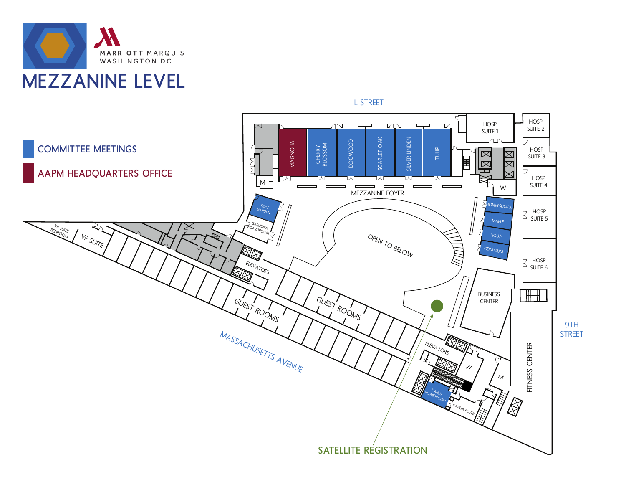



L STREET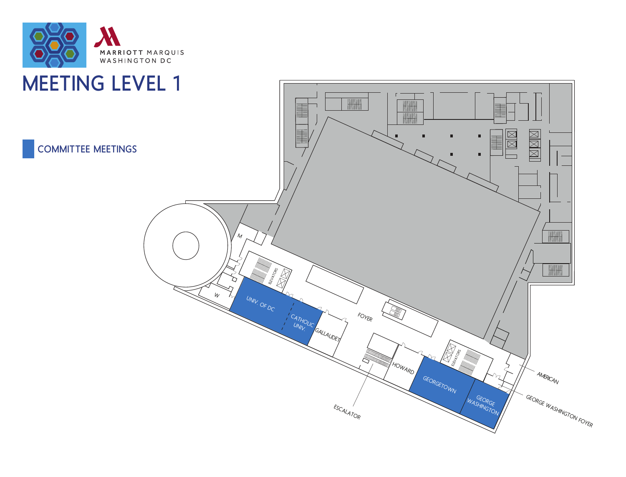

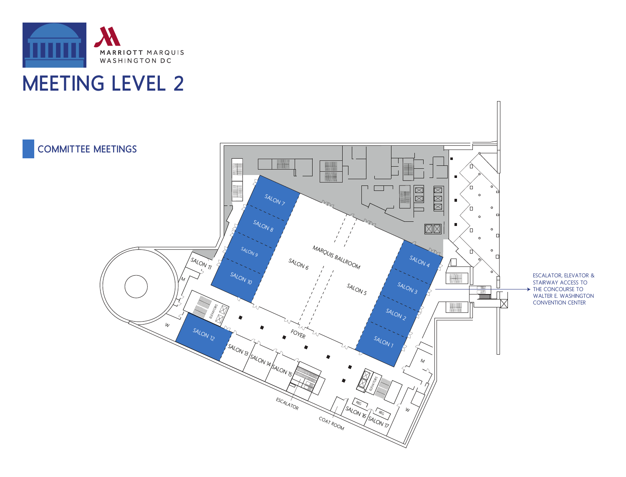

## MEETING LEVEL 2

COMMITTEE MEETINGS  $\boxtimes \boxtimes \boxtimes$  $\overline{\mathbb{Z}}$ SALON 7  $\circ$  $\mathbf{r}$  $\circ$  $\Omega$ SALON 8  $\boxed{\boxtimes\boxtimes}$  $\circ$  $\Box$  $\Box$  $\circ$ MAROUIS BALLROOM SALON 9 SALON 4  $\circ$  $\sqrt{s_{A\ell_{\text{OV}}}}_{77}$ SALON<sub>6</sub> SALON 10 M SALON<sub>3</sub> SALON<sub>5</sub>  $\begin{tabular}{|c|c|} \hline \quad \quad & \quad \quad & \quad \quad \\ \hline \quad \quad & \quad \quad & \quad \quad \\ \hline \quad \quad & \quad \quad & \quad \quad \\ \hline \quad \quad & \quad \quad & \quad \quad \\ \hline \quad \quad & \quad \quad & \quad \quad \\ \hline \quad \quad & \quad \quad & \quad \quad \\ \hline \end{tabular}$ **ELEVATORS**  $\begin{tabular}{|c|c|c|c|} \hline \quad \quad & \quad \quad & \quad \quad & \quad \quad \\ \hline \quad \quad & \quad \quad & \quad \quad \\ \hline \quad \quad & \quad \quad & \quad \quad \\ \hline \end{tabular}$ SALON 2 W SALON 12 FOYER SALON 1 SALON 13 SALON 14 SALON 15 /  $\mathcal{M}_{\mathcal{A}}$ E<br>Elementos<br>Elementos ESCALATOR REG<sup>T</sup>

SALON<sub>16</sub>

SALON<sub>17</sub>

REG

W

COAT ROOM

ESCALATOR, ELEVATOR & STAIRWAY ACCESS TO THE CONCOURSE TO WALTER E. WASHINGTON CONVENTION CENTER